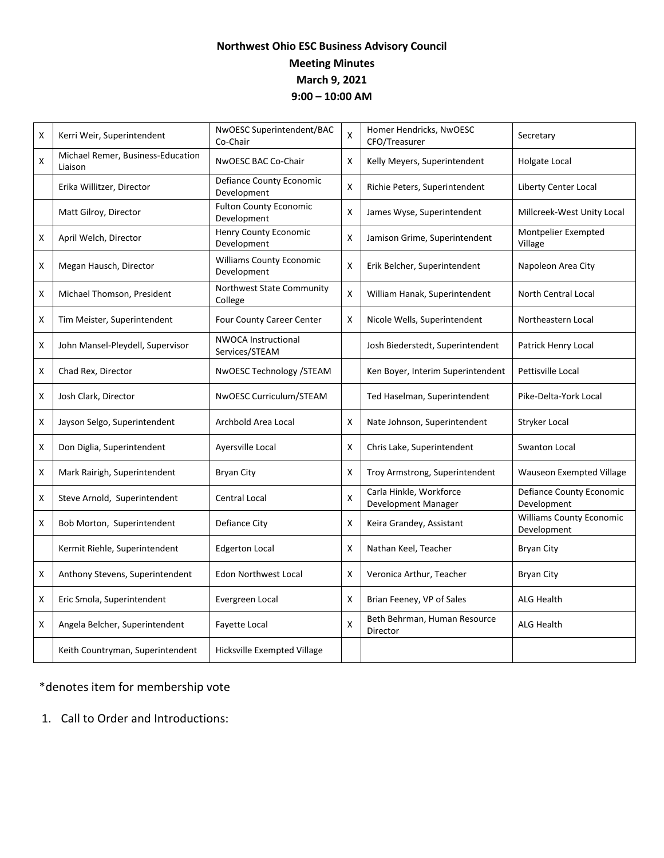## **Northwest Ohio ESC Business Advisory Council Meeting Minutes March 9, 2021 9:00 – 10:00 AM**

| X                  | Kerri Weir, Superintendent                   | NwOESC Superintendent/BAC<br>Co-Chair          | X | Homer Hendricks, NwOESC<br>CFO/Treasurer       | Secretary                                      |
|--------------------|----------------------------------------------|------------------------------------------------|---|------------------------------------------------|------------------------------------------------|
| $\pmb{\mathsf{X}}$ | Michael Remer, Business-Education<br>Liaison | NWOESC BAC Co-Chair                            | X | Kelly Meyers, Superintendent                   | <b>Holgate Local</b>                           |
|                    | Erika Willitzer, Director                    | Defiance County Economic<br>Development        | X | Richie Peters, Superintendent                  | Liberty Center Local                           |
|                    | Matt Gilroy, Director                        | <b>Fulton County Economic</b><br>Development   | X | James Wyse, Superintendent                     | Millcreek-West Unity Local                     |
| X                  | April Welch, Director                        | <b>Henry County Economic</b><br>Development    | X | Jamison Grime, Superintendent                  | Montpelier Exempted<br>Village                 |
| X                  | Megan Hausch, Director                       | <b>Williams County Economic</b><br>Development | X | Erik Belcher, Superintendent                   | Napoleon Area City                             |
| Χ                  | Michael Thomson, President                   | Northwest State Community<br>College           | X | William Hanak, Superintendent                  | North Central Local                            |
| x                  | Tim Meister, Superintendent                  | Four County Career Center                      | X | Nicole Wells, Superintendent                   | Northeastern Local                             |
| Χ                  | John Mansel-Pleydell, Supervisor             | <b>NWOCA Instructional</b><br>Services/STEAM   |   | Josh Biederstedt, Superintendent               | Patrick Henry Local                            |
| X                  | Chad Rex, Director                           | NwOESC Technology /STEAM                       |   | Ken Boyer, Interim Superintendent              | Pettisville Local                              |
| Χ                  | Josh Clark, Director                         | NwOESC Curriculum/STEAM                        |   | Ted Haselman, Superintendent                   | Pike-Delta-York Local                          |
| X                  | Jayson Selgo, Superintendent                 | Archbold Area Local                            | X | Nate Johnson, Superintendent                   | Stryker Local                                  |
| Χ                  | Don Diglia, Superintendent                   | Ayersville Local                               | х | Chris Lake, Superintendent                     | Swanton Local                                  |
| X                  | Mark Rairigh, Superintendent                 | <b>Bryan City</b>                              | X | Troy Armstrong, Superintendent                 | <b>Wauseon Exempted Village</b>                |
| x                  | Steve Arnold, Superintendent                 | <b>Central Local</b>                           | X | Carla Hinkle, Workforce<br>Development Manager | Defiance County Economic<br>Development        |
| x                  | Bob Morton, Superintendent                   | Defiance City                                  | Χ | Keira Grandey, Assistant                       | <b>Williams County Economic</b><br>Development |
|                    | Kermit Riehle, Superintendent                | <b>Edgerton Local</b>                          | X | Nathan Keel, Teacher                           | <b>Bryan City</b>                              |
| Χ                  | Anthony Stevens, Superintendent              | <b>Edon Northwest Local</b>                    | Χ | Veronica Arthur, Teacher                       | <b>Bryan City</b>                              |
| Χ                  | Eric Smola, Superintendent                   | Evergreen Local                                | Χ | Brian Feeney, VP of Sales                      | <b>ALG Health</b>                              |
| X                  | Angela Belcher, Superintendent               | Fayette Local                                  | Χ | Beth Behrman, Human Resource<br>Director       | <b>ALG Health</b>                              |
|                    | Keith Countryman, Superintendent             | Hicksville Exempted Village                    |   |                                                |                                                |

\*denotes item for membership vote

1. Call to Order and Introductions: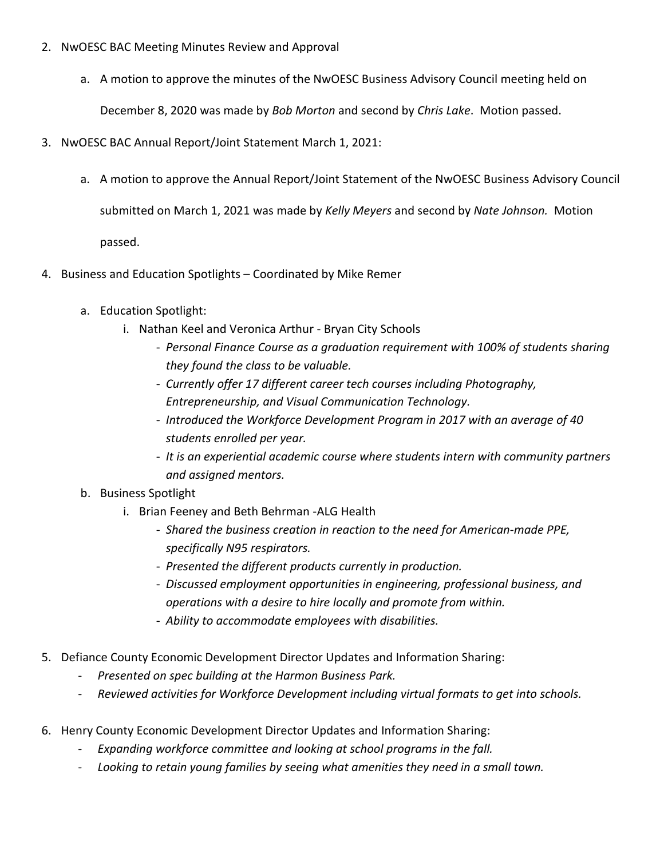- 2. NwOESC BAC Meeting Minutes Review and Approval
	- a. A motion to approve the minutes of the NwOESC Business Advisory Council meeting held on

December 8, 2020 was made by *Bob Morton* and second by *Chris Lake*. Motion passed.

- 3. NwOESC BAC Annual Report/Joint Statement March 1, 2021:
	- a. A motion to approve the Annual Report/Joint Statement of the NwOESC Business Advisory Council

submitted on March 1, 2021 was made by *Kelly Meyers* and second by *Nate Johnson.* Motion

passed.

- 4. Business and Education Spotlights Coordinated by Mike Remer
	- a. Education Spotlight:
		- i. Nathan Keel and Veronica Arthur Bryan City Schools
			- *Personal Finance Course as a graduation requirement with 100% of students sharing they found the class to be valuable.*
			- *Currently offer 17 different career tech courses including Photography, Entrepreneurship, and Visual Communication Technology.*
			- *Introduced the Workforce Development Program in 2017 with an average of 40 students enrolled per year.*
			- *It is an experiential academic course where students intern with community partners and assigned mentors.*
	- b. Business Spotlight
		- i. Brian Feeney and Beth Behrman -ALG Health
			- *Shared the business creation in reaction to the need for American-made PPE, specifically N95 respirators.*
			- *Presented the different products currently in production.*
			- *Discussed employment opportunities in engineering, professional business, and operations with a desire to hire locally and promote from within.*
			- *Ability to accommodate employees with disabilities.*
- 5. Defiance County Economic Development Director Updates and Information Sharing:
	- *Presented on spec building at the Harmon Business Park.*
	- *Reviewed activities for Workforce Development including virtual formats to get into schools.*
- 6. Henry County Economic Development Director Updates and Information Sharing:
	- *Expanding workforce committee and looking at school programs in the fall.*
	- *Looking to retain young families by seeing what amenities they need in a small town.*